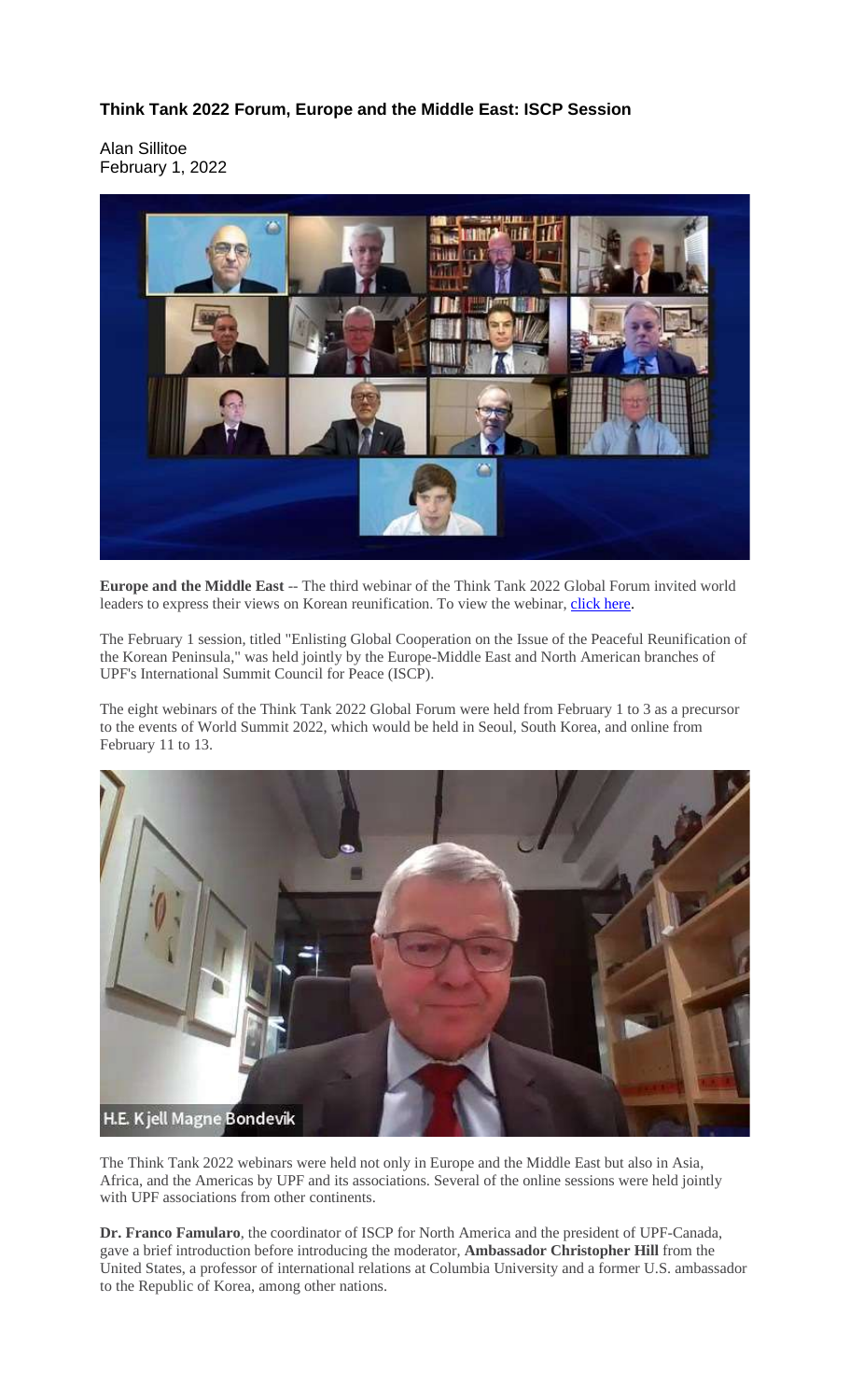## **Think Tank 2022 Forum, Europe and the Middle East: ISCP Session**

Alan Sillitoe February 1, 2022



**Europe and the Middle East** -- The third webinar of the Think Tank 2022 Global Forum invited world leaders to express their views on Korean reunification. To view the webinar, [click](https://youtu.be/2100V5HXAKU?t=104) here.

The February 1 session, titled "Enlisting Global Cooperation on the Issue of the Peaceful Reunification of the Korean Peninsula," was held jointly by the Europe-Middle East and North American branches of UPF's International Summit Council for Peace (ISCP).

The eight webinars of the Think Tank 2022 Global Forum were held from February 1 to 3 as a precursor to the events of World Summit 2022, which would be held in Seoul, South Korea, and online from February 11 to 13.



The Think Tank 2022 webinars were held not only in Europe and the Middle East but also in Asia, Africa, and the Americas by UPF and its associations. Several of the online sessions were held jointly with UPF associations from other continents.

**Dr. Franco Famularo**, the coordinator of ISCP for North America and the president of UPF-Canada, gave a brief introduction before introducing the moderator, **Ambassador Christopher Hill** from the United States, a professor of international relations at Columbia University and a former U.S. ambassador to the Republic of Korea, among other nations.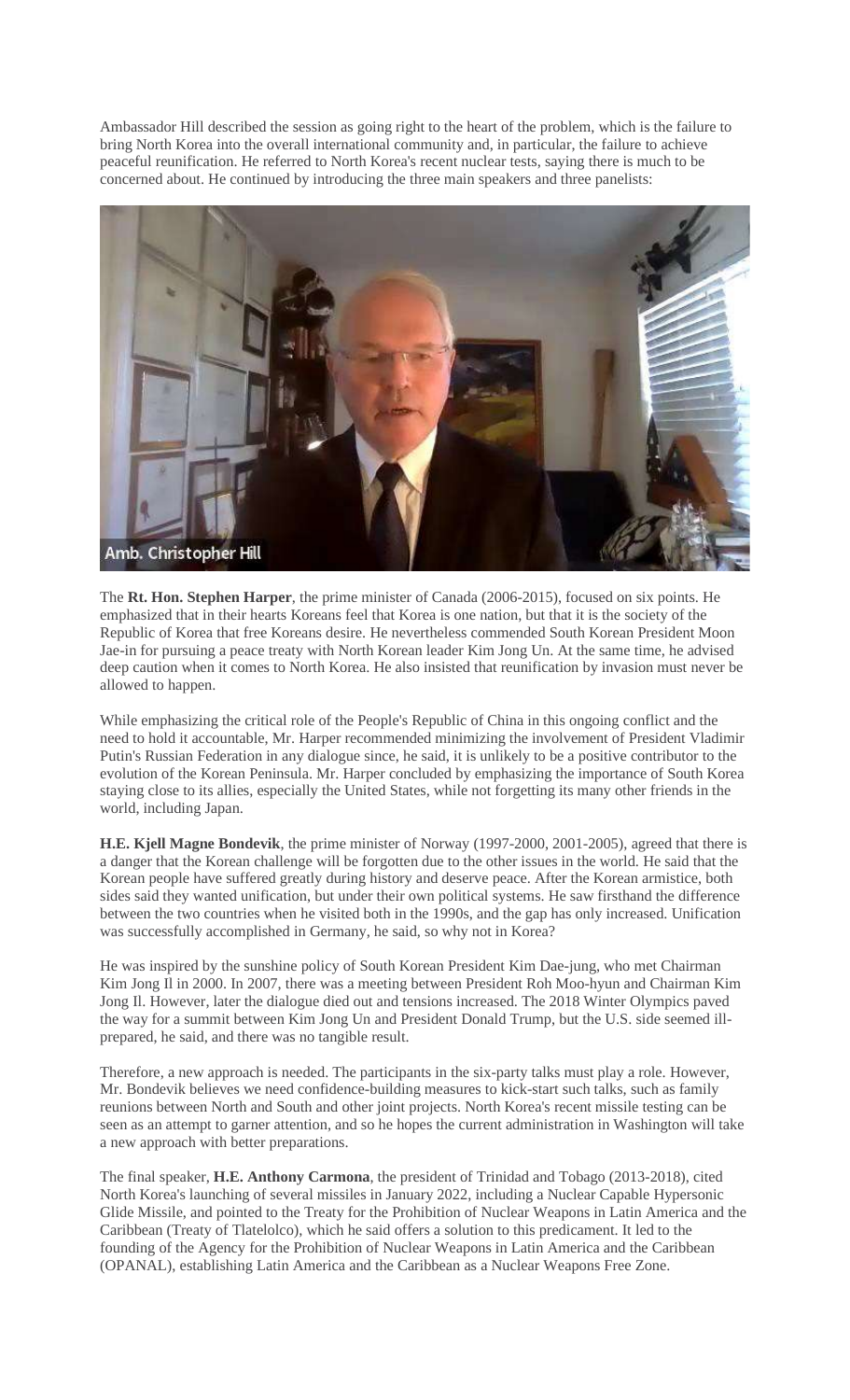Ambassador Hill described the session as going right to the heart of the problem, which is the failure to bring North Korea into the overall international community and, in particular, the failure to achieve peaceful reunification. He referred to North Korea's recent nuclear tests, saying there is much to be concerned about. He continued by introducing the three main speakers and three panelists:



The **Rt. Hon. Stephen Harper**, the prime minister of Canada (2006-2015), focused on six points. He emphasized that in their hearts Koreans feel that Korea is one nation, but that it is the society of the Republic of Korea that free Koreans desire. He nevertheless commended South Korean President Moon Jae-in for pursuing a peace treaty with North Korean leader Kim Jong Un. At the same time, he advised deep caution when it comes to North Korea. He also insisted that reunification by invasion must never be allowed to happen.

While emphasizing the critical role of the People's Republic of China in this ongoing conflict and the need to hold it accountable, Mr. Harper recommended minimizing the involvement of President Vladimir Putin's Russian Federation in any dialogue since, he said, it is unlikely to be a positive contributor to the evolution of the Korean Peninsula. Mr. Harper concluded by emphasizing the importance of South Korea staying close to its allies, especially the United States, while not forgetting its many other friends in the world, including Japan.

**H.E. Kjell Magne Bondevik**, the prime minister of Norway (1997-2000, 2001-2005), agreed that there is a danger that the Korean challenge will be forgotten due to the other issues in the world. He said that the Korean people have suffered greatly during history and deserve peace. After the Korean armistice, both sides said they wanted unification, but under their own political systems. He saw firsthand the difference between the two countries when he visited both in the 1990s, and the gap has only increased. Unification was successfully accomplished in Germany, he said, so why not in Korea?

He was inspired by the sunshine policy of South Korean President Kim Dae-jung, who met Chairman Kim Jong Il in 2000. In 2007, there was a meeting between President Roh Moo-hyun and Chairman Kim Jong Il. However, later the dialogue died out and tensions increased. The 2018 Winter Olympics paved the way for a summit between Kim Jong Un and President Donald Trump, but the U.S. side seemed illprepared, he said, and there was no tangible result.

Therefore, a new approach is needed. The participants in the six-party talks must play a role. However, Mr. Bondevik believes we need confidence-building measures to kick-start such talks, such as family reunions between North and South and other joint projects. North Korea's recent missile testing can be seen as an attempt to garner attention, and so he hopes the current administration in Washington will take a new approach with better preparations.

The final speaker, **H.E. Anthony Carmona**, the president of Trinidad and Tobago (2013-2018), cited North Korea's launching of several missiles in January 2022, including a Nuclear Capable Hypersonic Glide Missile, and pointed to the Treaty for the Prohibition of Nuclear Weapons in Latin America and the Caribbean (Treaty of Tlatelolco), which he said offers a solution to this predicament. It led to the founding of the Agency for the Prohibition of Nuclear Weapons in Latin America and the Caribbean (OPANAL), establishing Latin America and the Caribbean as a Nuclear Weapons Free Zone.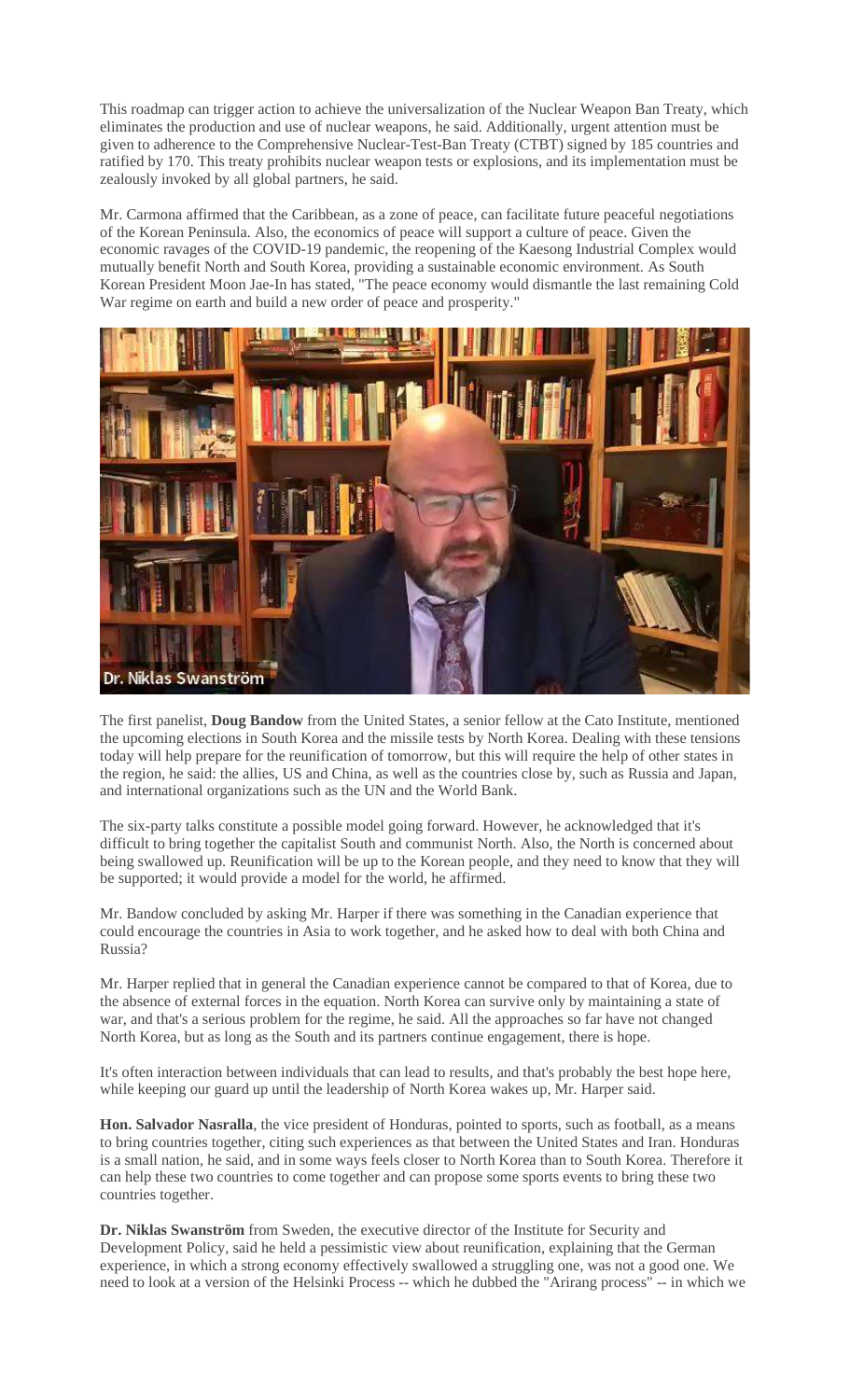This roadmap can trigger action to achieve the universalization of the Nuclear Weapon Ban Treaty, which eliminates the production and use of nuclear weapons, he said. Additionally, urgent attention must be given to adherence to the Comprehensive Nuclear-Test-Ban Treaty (CTBT) signed by 185 countries and ratified by 170. This treaty prohibits nuclear weapon tests or explosions, and its implementation must be zealously invoked by all global partners, he said.

Mr. Carmona affirmed that the Caribbean, as a zone of peace, can facilitate future peaceful negotiations of the Korean Peninsula. Also, the economics of peace will support a culture of peace. Given the economic ravages of the COVID-19 pandemic, the reopening of the Kaesong Industrial Complex would mutually benefit North and South Korea, providing a sustainable economic environment. As South Korean President Moon Jae-In has stated, "The peace economy would dismantle the last remaining Cold War regime on earth and build a new order of peace and prosperity."



The first panelist, **Doug Bandow** from the United States, a senior fellow at the Cato Institute, mentioned the upcoming elections in South Korea and the missile tests by North Korea. Dealing with these tensions today will help prepare for the reunification of tomorrow, but this will require the help of other states in the region, he said: the allies, US and China, as well as the countries close by, such as Russia and Japan, and international organizations such as the UN and the World Bank.

The six-party talks constitute a possible model going forward. However, he acknowledged that it's difficult to bring together the capitalist South and communist North. Also, the North is concerned about being swallowed up. Reunification will be up to the Korean people, and they need to know that they will be supported; it would provide a model for the world, he affirmed.

Mr. Bandow concluded by asking Mr. Harper if there was something in the Canadian experience that could encourage the countries in Asia to work together, and he asked how to deal with both China and Russia?

Mr. Harper replied that in general the Canadian experience cannot be compared to that of Korea, due to the absence of external forces in the equation. North Korea can survive only by maintaining a state of war, and that's a serious problem for the regime, he said. All the approaches so far have not changed North Korea, but as long as the South and its partners continue engagement, there is hope.

It's often interaction between individuals that can lead to results, and that's probably the best hope here, while keeping our guard up until the leadership of North Korea wakes up, Mr. Harper said.

**Hon. Salvador Nasralla**, the vice president of Honduras, pointed to sports, such as football, as a means to bring countries together, citing such experiences as that between the United States and Iran. Honduras is a small nation, he said, and in some ways feels closer to North Korea than to South Korea. Therefore it can help these two countries to come together and can propose some sports events to bring these two countries together.

**Dr. Niklas Swanström** from Sweden, the executive director of the Institute for Security and Development Policy, said he held a pessimistic view about reunification, explaining that the German experience, in which a strong economy effectively swallowed a struggling one, was not a good one. We need to look at a version of the Helsinki Process -- which he dubbed the "Arirang process" -- in which we